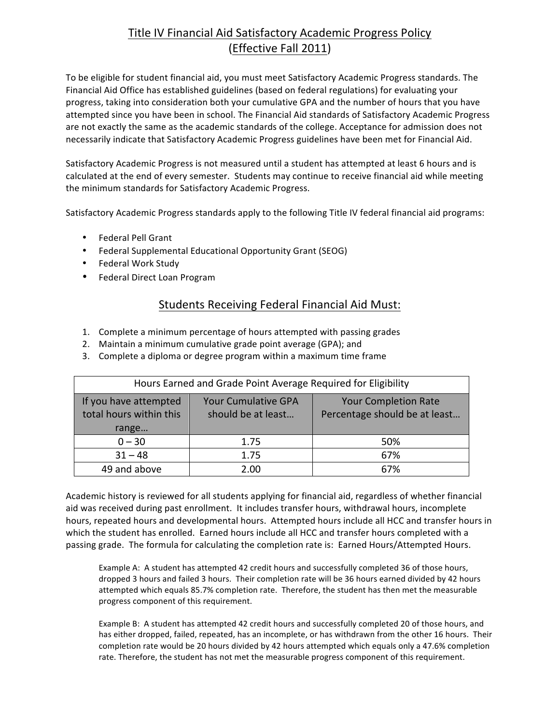# Title IV Financial Aid Satisfactory Academic Progress Policy (Effective Fall 2011)

To be eligible for student financial aid, you must meet Satisfactory Academic Progress standards. The Financial Aid Office has established guidelines (based on federal regulations) for evaluating your progress, taking into consideration both your cumulative GPA and the number of hours that you have attempted since you have been in school. The Financial Aid standards of Satisfactory Academic Progress are not exactly the same as the academic standards of the college. Acceptance for admission does not necessarily indicate that Satisfactory Academic Progress guidelines have been met for Financial Aid.

Satisfactory Academic Progress is not measured until a student has attempted at least 6 hours and is calculated at the end of every semester. Students may continue to receive financial aid while meeting the minimum standards for Satisfactory Academic Progress.

Satisfactory Academic Progress standards apply to the following Title IV federal financial aid programs:

- Federal Pell Grant
- Federal Supplemental Educational Opportunity Grant (SEOG)
- Federal Work Study
- Federal Direct Loan Program

### Students Receiving Federal Financial Aid Must:

- 1. Complete a minimum percentage of hours attempted with passing grades
- 2. Maintain a minimum cumulative grade point average (GPA); and
- 3. Complete a diploma or degree program within a maximum time frame

| Hours Earned and Grade Point Average Required for Eligibility |                                                  |                                                              |
|---------------------------------------------------------------|--------------------------------------------------|--------------------------------------------------------------|
| If you have attempted<br>total hours within this<br>range     | <b>Your Cumulative GPA</b><br>should be at least | <b>Your Completion Rate</b><br>Percentage should be at least |
| $0 - 30$                                                      | 1.75                                             | 50%                                                          |
| $31 - 48$                                                     | 1.75                                             | 67%                                                          |
| 49 and above                                                  | 2.00                                             | 67%                                                          |

Academic history is reviewed for all students applying for financial aid, regardless of whether financial aid was received during past enrollment. It includes transfer hours, withdrawal hours, incomplete hours, repeated hours and developmental hours. Attempted hours include all HCC and transfer hours in which the student has enrolled. Earned hours include all HCC and transfer hours completed with a passing grade. The formula for calculating the completion rate is: Earned Hours/Attempted Hours.

Example A: A student has attempted 42 credit hours and successfully completed 36 of those hours, dropped 3 hours and failed 3 hours. Their completion rate will be 36 hours earned divided by 42 hours attempted which equals 85.7% completion rate. Therefore, the student has then met the measurable progress component of this requirement.

Example B: A student has attempted 42 credit hours and successfully completed 20 of those hours, and has either dropped, failed, repeated, has an incomplete, or has withdrawn from the other 16 hours. Their completion rate would be 20 hours divided by 42 hours attempted which equals only a 47.6% completion rate. Therefore, the student has not met the measurable progress component of this requirement.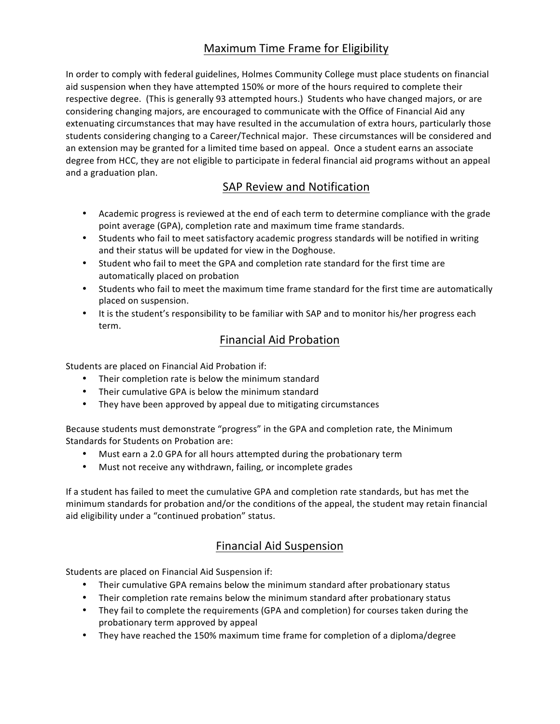# Maximum Time Frame for Eligibility

In order to comply with federal guidelines, Holmes Community College must place students on financial aid suspension when they have attempted 150% or more of the hours required to complete their respective degree. (This is generally 93 attempted hours.) Students who have changed majors, or are considering changing majors, are encouraged to communicate with the Office of Financial Aid any extenuating circumstances that may have resulted in the accumulation of extra hours, particularly those students considering changing to a Career/Technical major. These circumstances will be considered and an extension may be granted for a limited time based on appeal. Once a student earns an associate degree from HCC, they are not eligible to participate in federal financial aid programs without an appeal and a graduation plan.

### SAP Review and Notification

- Academic progress is reviewed at the end of each term to determine compliance with the grade point average (GPA), completion rate and maximum time frame standards.
- Students who fail to meet satisfactory academic progress standards will be notified in writing and their status will be updated for view in the Doghouse.
- Student who fail to meet the GPA and completion rate standard for the first time are automatically placed on probation
- Students who fail to meet the maximum time frame standard for the first time are automatically placed on suspension.
- It is the student's responsibility to be familiar with SAP and to monitor his/her progress each term.

#### Financial Aid Probation

Students are placed on Financial Aid Probation if:

- Their completion rate is below the minimum standard
- Their cumulative GPA is below the minimum standard
- They have been approved by appeal due to mitigating circumstances

Because students must demonstrate "progress" in the GPA and completion rate, the Minimum Standards for Students on Probation are:

- Must earn a 2.0 GPA for all hours attempted during the probationary term
- Must not receive any withdrawn, failing, or incomplete grades

If a student has failed to meet the cumulative GPA and completion rate standards, but has met the minimum standards for probation and/or the conditions of the appeal, the student may retain financial aid eligibility under a "continued probation" status.

#### Financial Aid Suspension

Students are placed on Financial Aid Suspension if:

- Their cumulative GPA remains below the minimum standard after probationary status
- Their completion rate remains below the minimum standard after probationary status
- They fail to complete the requirements (GPA and completion) for courses taken during the probationary term approved by appeal
- They have reached the 150% maximum time frame for completion of a diploma/degree